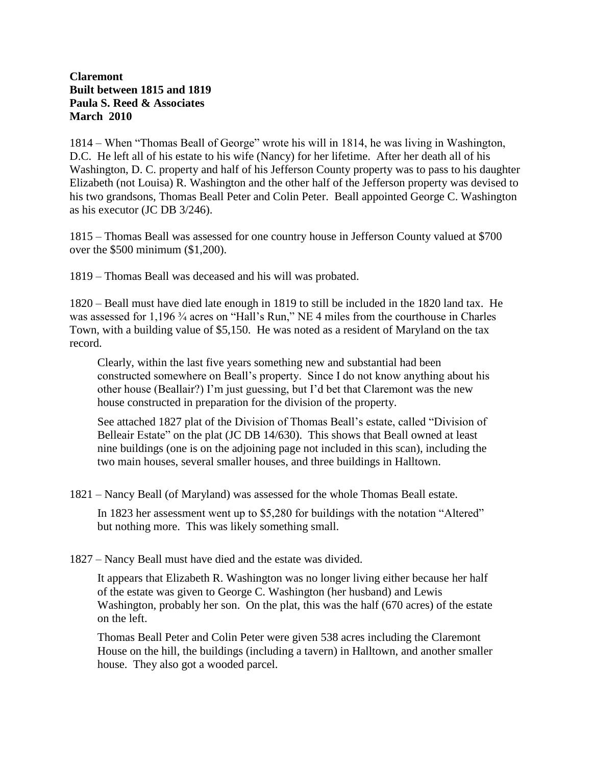## **Claremont Built between 1815 and 1819 Paula S. Reed & Associates March 2010**

1814 – When "Thomas Beall of George" wrote his will in 1814, he was living in Washington, D.C. He left all of his estate to his wife (Nancy) for her lifetime. After her death all of his Washington, D. C. property and half of his Jefferson County property was to pass to his daughter Elizabeth (not Louisa) R. Washington and the other half of the Jefferson property was devised to his two grandsons, Thomas Beall Peter and Colin Peter. Beall appointed George C. Washington as his executor (JC DB 3/246).

1815 – Thomas Beall was assessed for one country house in Jefferson County valued at \$700 over the \$500 minimum (\$1,200).

1819 – Thomas Beall was deceased and his will was probated.

1820 – Beall must have died late enough in 1819 to still be included in the 1820 land tax. He was assessed for 1,196 ¾ acres on "Hall's Run," NE 4 miles from the courthouse in Charles Town, with a building value of \$5,150. He was noted as a resident of Maryland on the tax record.

Clearly, within the last five years something new and substantial had been constructed somewhere on Beall's property. Since I do not know anything about his other house (Beallair?) I'm just guessing, but I'd bet that Claremont was the new house constructed in preparation for the division of the property.

See attached 1827 plat of the Division of Thomas Beall's estate, called "Division of Belleair Estate" on the plat (JC DB 14/630). This shows that Beall owned at least nine buildings (one is on the adjoining page not included in this scan), including the two main houses, several smaller houses, and three buildings in Halltown.

1821 – Nancy Beall (of Maryland) was assessed for the whole Thomas Beall estate.

In 1823 her assessment went up to \$5,280 for buildings with the notation "Altered" but nothing more. This was likely something small.

1827 – Nancy Beall must have died and the estate was divided.

It appears that Elizabeth R. Washington was no longer living either because her half of the estate was given to George C. Washington (her husband) and Lewis Washington, probably her son. On the plat, this was the half (670 acres) of the estate on the left.

Thomas Beall Peter and Colin Peter were given 538 acres including the Claremont House on the hill, the buildings (including a tavern) in Halltown, and another smaller house. They also got a wooded parcel.